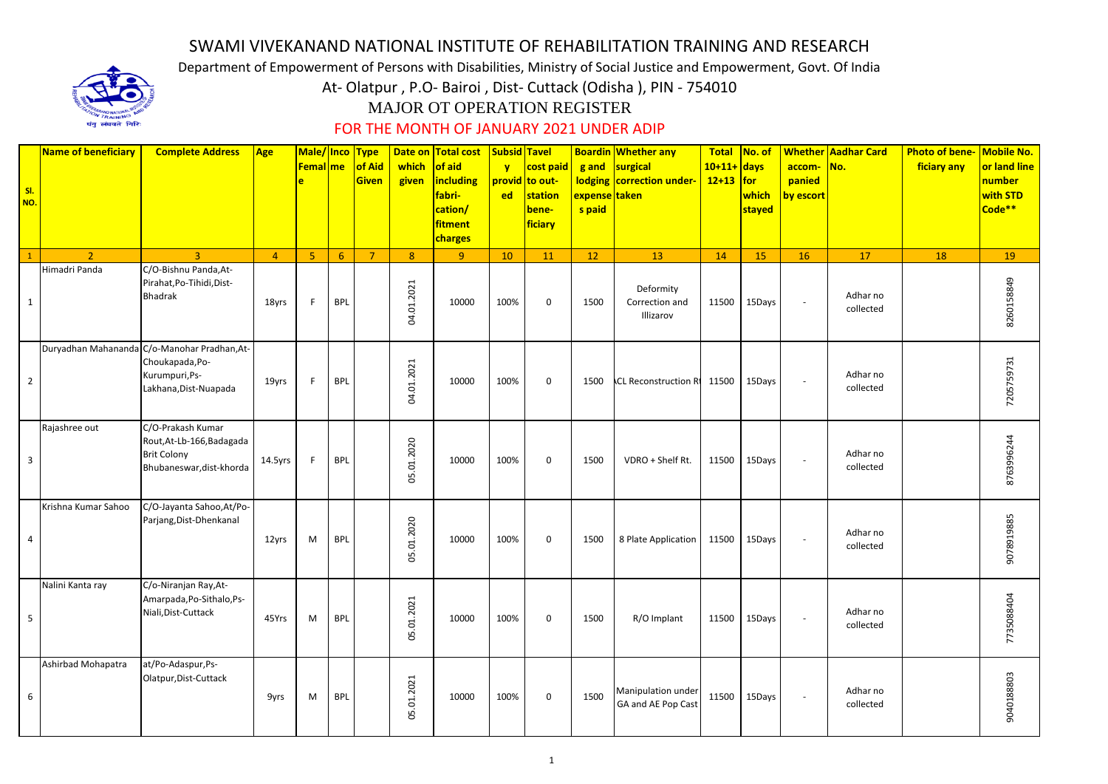## SWAMI VIVEKANAND NATIONAL INSTITUTE OF REHABILITATION TRAINING AND RESEARCH

Department of Empowerment of Persons with Disabilities, Ministry of Social Justice and Empowerment, Govt. Of India

At- Olatpur , P.O- Bairoi , Dist- Cuttack (Odisha ), PIN - 754010

## MAJOR OT OPERATION REGISTER

## FOR THE MONTH OF JANUARY 2021 UNDER ADIP

| Name of beneficiary                          | <b>Complete Address</b>   Age                                                                    |                |    | Femal me of Aid<br>Given | which of aid<br>given                      | Male/ Inco   Type   Date on   Total cost   Subsid   Tavel<br>$\frac{1}{2}$ including $\frac{1}{2}$ provid to out-<br>fabri-<br>cation/<br>fitment | $\mathbf{y}$<br>ed | cost paid g and surgical<br>station<br>bene-<br>ficiary | expense taken<br>s paid | <b>Boardin Whether any</b><br>lodging correction under- | $10+11+$ days<br>$\sqrt{12+13}$ for<br>which<br>stayed | <b>Total   No. of   Whether   Aadhar Card</b><br>accom- No.<br>panied<br>by escort | <b>Photo of bene- Mobile No.</b><br>ficiary any<br>number<br>with STD<br>Code** | or land line |
|----------------------------------------------|--------------------------------------------------------------------------------------------------|----------------|----|--------------------------|--------------------------------------------|---------------------------------------------------------------------------------------------------------------------------------------------------|--------------------|---------------------------------------------------------|-------------------------|---------------------------------------------------------|--------------------------------------------------------|------------------------------------------------------------------------------------|---------------------------------------------------------------------------------|--------------|
| $\overline{2}$                               | $\overline{a}$                                                                                   | $\overline{4}$ |    | 5 6 7 8                  |                                            | charges<br>$\overline{q}$                                                                                                                         | $\vert$ 10 $\vert$ | $\overline{11}$                                         | $\overline{12}$         |                                                         |                                                        | $15$ 16<br>17                                                                      |                                                                                 |              |
| Himadri Panda                                | C/O-Bishnu Panda, At-<br>Pirahat, Po-Tihidi, Dist-<br><b>Bhadrak</b>                             | 18yrs          | E. | BPL                      | $\overline{21}$<br>01.20<br>$\overline{a}$ | 10000                                                                                                                                             | 100%               | $\overline{0}$                                          | 1500                    | 13<br>Deformity<br>Correction and<br>Illizarov          | 14<br>11500 15Days                                     | Adhar no<br>collected                                                              | 18                                                                              | 19<br>25     |
| Duryadhan Mahananda C/o-Manohar Pradhan, At- | Choukapada, Po-<br>Kurumpuri, Ps-<br>Lakhana, Dist-Nuapada                                       | 19yrs          | E. | BPL                      | $\overline{a}$<br>ΣÓ<br>ā.<br>ਨ਼           | 10000                                                                                                                                             | 100%               | $\overline{0}$                                          |                         | 1500 CL Reconstruction Rt 11500 15Days                  |                                                        | Adhar no<br>collected                                                              |                                                                                 | 205          |
| Rajashree out                                | C/O-Prakash Kumar<br>Rout, At-Lb-166, Badagada<br><b>Brit Colony</b><br>Bhubaneswar, dist-khorda | 14.5yrs        | F. | BPL                      | 01.2020<br>g,                              | 10000                                                                                                                                             | 100%               | $\overline{0}$                                          | 1500                    | VDRO + Shelf Rt.                                        | 11500 15Days                                           | Adhar no<br>collected                                                              |                                                                                 |              |
| Krishna Kumar Sahoo                          | C/O-Jayanta Sahoo, At/Po-<br>Parjang, Dist-Dhenkanal                                             | 12yrs          | M  | <b>BPL</b>               | ΣC.<br>1.20<br>$\circ$<br>පි               | 10000                                                                                                                                             | 100%               | $\overline{0}$                                          | 1500                    | 8 Plate Application   11500   15Days                    |                                                        | Adhar no<br>collected                                                              |                                                                                 | ട            |
| Nalini Kanta ray                             | C/o-Niranjan Ray, At-<br>Amarpada, Po-Sithalo, Ps-<br>Niali, Dist-Cuttack                        | 45Yrs          | M  | <b>BPL</b>               | $\overline{21}$<br>01.20                   | 10000                                                                                                                                             | 100%               | $\overline{0}$                                          | 1500                    | R/O Implant                                             | 11500 15Days                                           | Adhar no<br>collected                                                              |                                                                                 |              |
| Ashirbad Mohapatra                           | at/Po-Adaspur,Ps-<br>Olatpur, Dist-Cuttack                                                       | 9yrs           | M  | <b>BPL</b>               | $\overline{21}$<br>01.20                   | 10000                                                                                                                                             | 100%               | $\overline{0}$                                          | 1500                    | Manipulation under<br>GA and AE Pop Cast                | 11500 15Days                                           | Adhar no<br>$\sim$<br>collected                                                    |                                                                                 |              |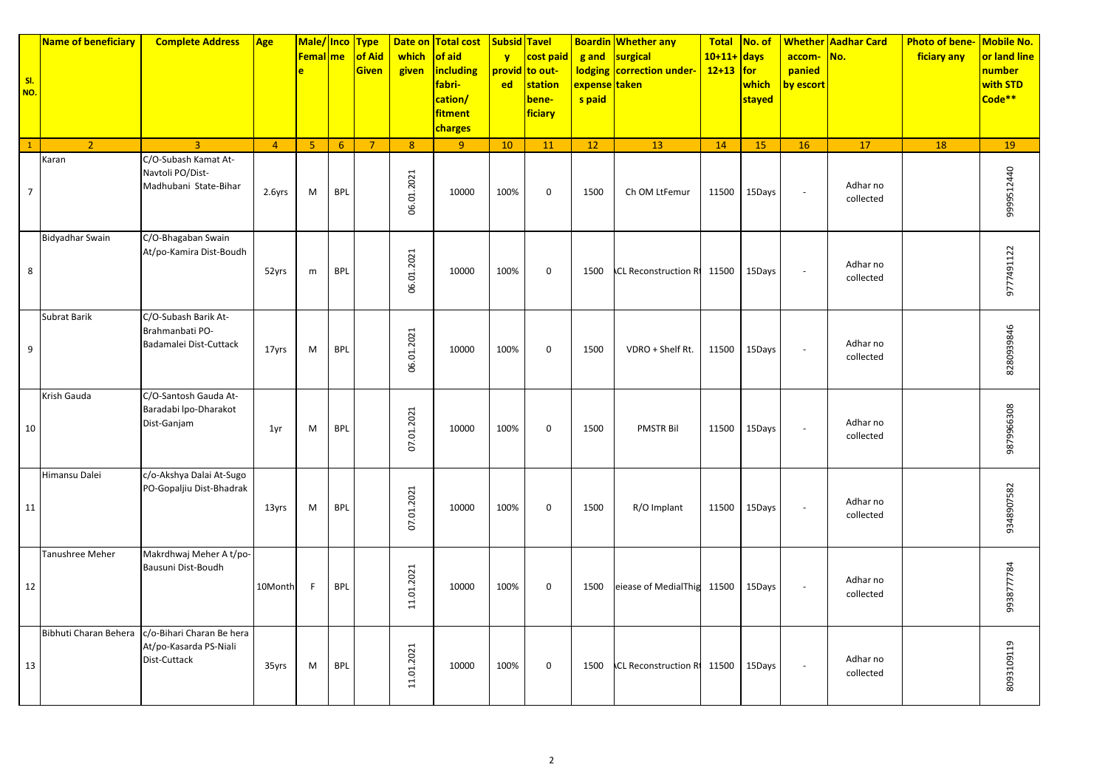| SI.<br>NO.     | <b>Name of beneficiary</b> | <b>Complete Address</b>                                             | <b>Age</b>     | Male/Inco<br><b>Femal</b> me<br>e |            | <b>Type</b><br>of Aid<br><b>Given</b> | which<br>given | Date on Total cost<br>of aid<br><b>including</b><br>fabri-<br>cation/<br>fitment<br>charges | <b>Subsid Tavel</b><br>$\mathbf{v}$<br><b>ed</b> | cost paid<br>provid to out-<br>station<br>bene-<br>ficiary | g and<br><mark>expense taken</mark><br>s paid | <b>Boardin Whether any</b><br>surgical<br>lodging correction under- | Total No. of<br>$10+11+$ days<br>$12+13$ for | which<br>stayed | accom-<br>panied<br>by escort | <b>Whether Aadhar Card</b><br>No. | <b>Photo of bene-</b><br>ficiary any | Mobile No.<br>or land line<br>number<br>with STD<br>Code <sup>**</sup> |
|----------------|----------------------------|---------------------------------------------------------------------|----------------|-----------------------------------|------------|---------------------------------------|----------------|---------------------------------------------------------------------------------------------|--------------------------------------------------|------------------------------------------------------------|-----------------------------------------------|---------------------------------------------------------------------|----------------------------------------------|-----------------|-------------------------------|-----------------------------------|--------------------------------------|------------------------------------------------------------------------|
| $\mathbf{1}$   | $\overline{2}$             | $\overline{3}$                                                      | $\overline{4}$ | 5 <sub>o</sub>                    | 6          | $\overline{7}$                        | 8              | 9 <sup>°</sup>                                                                              | 10                                               | <b>11</b>                                                  | 12                                            | 13                                                                  | 14                                           | 15              | 16                            | 17                                | <b>18</b>                            | 19                                                                     |
| $\overline{7}$ | Karan                      | C/O-Subash Kamat At-<br>Navtoli PO/Dist-<br>Madhubani State-Bihar   | 2.6yrs         | M                                 | <b>BPL</b> |                                       | 06.01.2021     | 10000                                                                                       | 100%                                             | $\mathbf 0$                                                | 1500                                          | Ch OM LtFemur                                                       | 11500                                        | 15Days          | $\overline{\phantom{a}}$      | Adhar no<br>collected             |                                      | 9999512440                                                             |
| 8              | <b>Bidyadhar Swain</b>     | C/O-Bhagaban Swain<br>At/po-Kamira Dist-Boudh                       | 52yrs          | m                                 | <b>BPL</b> |                                       | 06.01.2021     | 10000                                                                                       | 100%                                             | $\mathbf 0$                                                | 1500                                          | <b>CL Reconstruction Rt</b>                                         | 11500                                        | 15Days          | $\overline{\phantom{a}}$      | Adhar no<br>collected             |                                      | 9777491122                                                             |
| 9              | Subrat Barik               | C/O-Subash Barik At-<br>Brahmanbati PO-<br>Badamalei Dist-Cuttack   | 17yrs          | M                                 | <b>BPL</b> |                                       | 06.01.2021     | 10000                                                                                       | 100%                                             | $\pmb{0}$                                                  | 1500                                          | VDRO + Shelf Rt.                                                    | 11500                                        | 15Days          | $\overline{\phantom{a}}$      | Adhar no<br>collected             |                                      | 8280939846                                                             |
| 10             | Krish Gauda                | C/O-Santosh Gauda At-<br>Baradabi Ipo-Dharakot<br>Dist-Ganjam       | 1yr            | M                                 | <b>BPL</b> |                                       | 07.01.2021     | 10000                                                                                       | 100%                                             | 0                                                          | 1500                                          | <b>PMSTR Bil</b>                                                    | 11500                                        | 15Days          | $\overline{\phantom{a}}$      | Adhar no<br>collected             |                                      | 9879966308                                                             |
| 11             | Himansu Dalei              | c/o-Akshya Dalai At-Sugo<br>PO-Gopaljiu Dist-Bhadrak                | 13yrs          | M                                 | <b>BPL</b> |                                       | 07.01.2021     | 10000                                                                                       | 100%                                             | $\mathbf 0$                                                | 1500                                          | R/O Implant                                                         | 11500                                        | 15Days          | $\sim$                        | Adhar no<br>collected             |                                      | 9348907582                                                             |
| 12             | Tanushree Meher            | Makrdhwaj Meher A t/po-<br>Bausuni Dist-Boudh                       | 10Month        | -F                                | <b>BPL</b> |                                       | 11.01.2021     | 10000                                                                                       | 100%                                             | $\mathbf 0$                                                | 1500                                          | eiease of MedialThig 11500                                          |                                              | 15Days          | $\overline{\phantom{a}}$      | Adhar no<br>collected             |                                      | 9938777784                                                             |
| 13             | Bibhuti Charan Behera      | c/o-Bihari Charan Be hera<br>At/po-Kasarda PS-Niali<br>Dist-Cuttack | 35yrs          | M                                 | <b>BPL</b> |                                       | 11.01.2021     | 10000                                                                                       | 100%                                             | $\mathbf 0$                                                | 1500                                          | <b>ACL Reconstruction Rt 11500</b>                                  |                                              | 15Days          | $\sim$                        | Adhar no<br>collected             |                                      | 8093109119                                                             |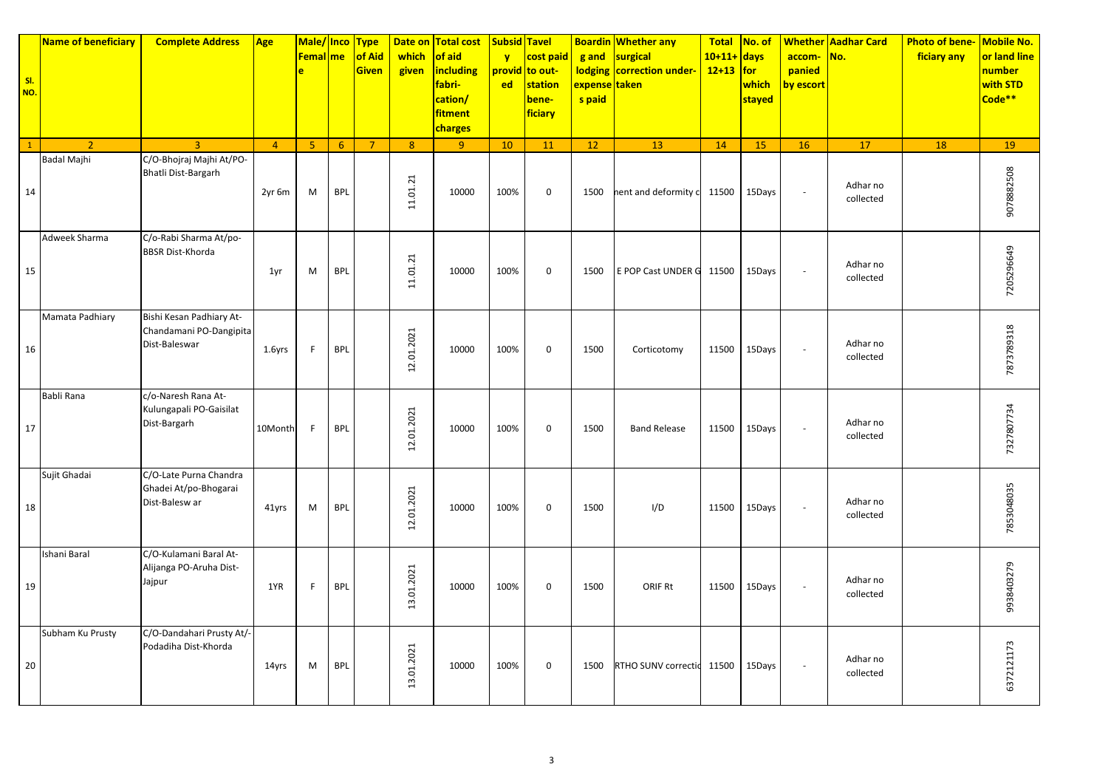| SI.<br>NO.   | Name of beneficiary | <b>Complete Address</b>                                              | <b>Age</b>     | Male/Inco<br><b>Femal</b> me<br>e |            | <b>Type</b><br>of Aid<br><b>Given</b> | which<br>given | Date on Total cost<br>of aid<br>including<br>fabri-<br>cation/<br>fitment<br>charges | <b>Subsid Tavel</b><br>$\mathbf{v}$<br><b>ed</b> | cost paid<br>provid to out-<br>station<br>bene-<br>ficiary | g and<br>expense <mark>taken</mark><br>s paid | <b>Boardin Whether any</b><br>surgical<br>lodging   correction under- | Total No. of<br>$10+11+$ days<br>$12+13$ for | which<br>stayed | accom-<br>panied<br>by escort | <b>Whether Aadhar Card</b><br>No. | <b>Photo of bene-</b><br>ficiary any | Mobile No.<br>or land line<br>number<br>with STD<br>Code <sup>**</sup> |
|--------------|---------------------|----------------------------------------------------------------------|----------------|-----------------------------------|------------|---------------------------------------|----------------|--------------------------------------------------------------------------------------|--------------------------------------------------|------------------------------------------------------------|-----------------------------------------------|-----------------------------------------------------------------------|----------------------------------------------|-----------------|-------------------------------|-----------------------------------|--------------------------------------|------------------------------------------------------------------------|
| $\mathbf{1}$ | $\overline{2}$      | $\overline{3}$                                                       | $\overline{4}$ | 5 <sub>o</sub>                    | 6          | 7 <sup>2</sup>                        | 8              | 9 <sup>°</sup>                                                                       | 10                                               | 11                                                         | 12 <sup>7</sup>                               | 13                                                                    | 14                                           | 15              | 16                            | 17                                | 18                                   | 19                                                                     |
| 14           | Badal Majhi         | C/O-Bhojraj Majhi At/PO-<br>Bhatli Dist-Bargarh                      | 2yr 6m         | M                                 | <b>BPL</b> |                                       | 11.01.21       | 10000                                                                                | 100%                                             | $\mathsf 0$                                                | 1500                                          | nent and deformity c                                                  | 11500                                        | 15Days          | $\overline{\phantom{a}}$      | Adhar no<br>collected             |                                      | 9078882508                                                             |
| 15           | Adweek Sharma       | C/o-Rabi Sharma At/po-<br><b>BBSR Dist-Khorda</b>                    | 1yr            | M                                 | <b>BPL</b> |                                       | 11.01.21       | 10000                                                                                | 100%                                             | $\mathbf 0$                                                | 1500                                          | E POP Cast UNDER G                                                    | 11500                                        | 15Days          | $\overline{\phantom{a}}$      | Adhar no<br>collected             |                                      | 7205296649                                                             |
| 16           | Mamata Padhiary     | Bishi Kesan Padhiary At-<br>Chandamani PO-Dangipita<br>Dist-Baleswar | 1.6yrs         | F.                                | <b>BPL</b> |                                       | 12.01.2021     | 10000                                                                                | 100%                                             | $\mathbf 0$                                                | 1500                                          | Corticotomy                                                           | 11500                                        | 15Days          | $\blacksquare$                | Adhar no<br>collected             |                                      | 7873789318                                                             |
| 17           | Babli Rana          | c/o-Naresh Rana At-<br>Kulungapali PO-Gaisilat<br>Dist-Bargarh       | 10Month        | -F                                | <b>BPL</b> |                                       | 12.01.2021     | 10000                                                                                | 100%                                             | $\mathbf 0$                                                | 1500                                          | <b>Band Release</b>                                                   | 11500                                        | 15Days          | ÷,                            | Adhar no<br>collected             |                                      | 7327807734                                                             |
| 18           | Sujit Ghadai        | C/O-Late Purna Chandra<br>Ghadei At/po-Bhogarai<br>Dist-Balesw ar    | 41yrs          | M                                 | <b>BPL</b> |                                       | 12.01.2021     | 10000                                                                                | 100%                                             | $\mathbf 0$                                                | 1500                                          | I/D                                                                   | 11500                                        | 15Days          | $\overline{\phantom{a}}$      | Adhar no<br>collected             |                                      | 7853048035                                                             |
| 19           | Ishani Baral        | C/O-Kulamani Baral At-<br>Alijanga PO-Aruha Dist-<br>Jajpur          | 1YR            | F.                                | <b>BPL</b> |                                       | 13.01.2021     | 10000                                                                                | 100%                                             | $\boldsymbol{0}$                                           | 1500                                          | ORIF Rt                                                               | 11500                                        | 15Days          | $\overline{\phantom{a}}$      | Adhar no<br>collected             |                                      | 9938403279                                                             |
| 20           | Subham Ku Prusty    | C/O-Dandahari Prusty At/-<br>Podadiha Dist-Khorda                    | 14yrs          | M                                 | <b>BPL</b> |                                       | 13.01.2021     | 10000                                                                                | 100%                                             | $\mathbf 0$                                                | 1500                                          | RTHO SUNV correctic 11500                                             |                                              | 15Days          | $\overline{\phantom{a}}$      | Adhar no<br>collected             |                                      | 6372121173                                                             |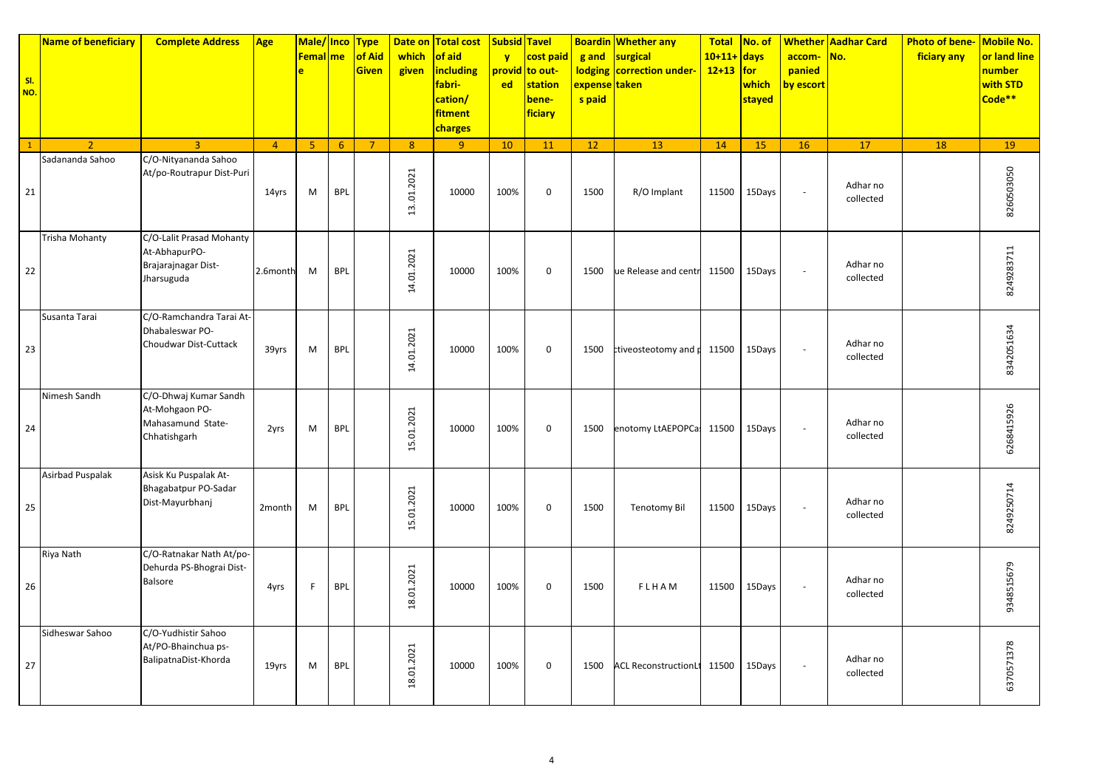| SI.<br>NO.   | Name of beneficiary     | <b>Complete Address</b>                                                        | Age            | Male/ Inco<br><b>Femal</b> me<br>ė |            | <b>Type</b><br>of Aid<br><b>Given</b> | Date on<br>which<br>given | <b>Total cost</b><br>of aid<br><b>including</b><br>fabri-<br>cation/<br>fitment<br>charges | <b>Subsid Tavel</b><br>$\mathbf{v}$<br>ed | cost paid<br>provid to out-<br>station<br>bene-<br>ficiary | g and<br><b>lodging</b><br>expense taken<br>s paid | <b>Boardin Whether any</b><br>surgical<br>correction under- | <b>Total</b><br>$10+11+$ days<br>$12+13$ for | No. of<br>which<br>stayed | accom-<br>panied<br>by escort | <b>Whether Aadhar Card</b><br>No. | <b>Photo of bene-</b><br>ficiary any | Mobile No.<br>or land line<br>number<br>with STD<br>Code <sup>**</sup> |
|--------------|-------------------------|--------------------------------------------------------------------------------|----------------|------------------------------------|------------|---------------------------------------|---------------------------|--------------------------------------------------------------------------------------------|-------------------------------------------|------------------------------------------------------------|----------------------------------------------------|-------------------------------------------------------------|----------------------------------------------|---------------------------|-------------------------------|-----------------------------------|--------------------------------------|------------------------------------------------------------------------|
| $\mathbf{1}$ | $\overline{2}$          | $\overline{3}$                                                                 | $\overline{4}$ | $\overline{5}$                     | 6          | $\overline{7}$                        | 8                         | 9 <sup>°</sup>                                                                             | 10                                        | 11                                                         | 12                                                 | 13                                                          | 14                                           | 15                        | 16                            | 17                                | 18                                   | 19                                                                     |
| 21           | Sadananda Sahoo         | C/O-Nityananda Sahoo<br>At/po-Routrapur Dist-Puri                              | 14yrs          | M                                  | <b>BPL</b> |                                       | 13.01.2021                | 10000                                                                                      | 100%                                      | $\mathbf 0$                                                | 1500                                               | R/O Implant                                                 | 11500                                        | 15Days                    | ÷,                            | Adhar no<br>collected             |                                      | 8260503050                                                             |
| 22           | Trisha Mohanty          | C/O-Lalit Prasad Mohanty<br>At-AbhapurPO-<br>Brajarajnagar Dist-<br>Jharsuguda | 2.6month       | M                                  | <b>BPL</b> |                                       | 14.01.2021                | 10000                                                                                      | 100%                                      | $\mathbf 0$                                                | 1500                                               | ue Release and centr                                        | 11500                                        | 15Days                    | ÷,                            | Adhar no<br>collected             |                                      | 8249283711                                                             |
| 23           | Susanta Tarai           | C/O-Ramchandra Tarai At-<br>Dhabaleswar PO-<br>Choudwar Dist-Cuttack           | 39yrs          | M                                  | <b>BPL</b> |                                       | 14.01.2021                | 10000                                                                                      | 100%                                      | $\mathbf 0$                                                | 1500                                               | ctiveosteotomy and p                                        | 11500                                        | 15Days                    | $\bar{a}$                     | Adhar no<br>collected             |                                      | 8342051634                                                             |
| 24           | Nimesh Sandh            | C/O-Dhwaj Kumar Sandh<br>At-Mohgaon PO-<br>Mahasamund State-<br>Chhatishgarh   | 2yrs           | M                                  | <b>BPL</b> |                                       | 15.01.2021                | 10000                                                                                      | 100%                                      | $\mathbf 0$                                                | 1500                                               | enotomy LtAEPOPCas                                          | 11500                                        | 15Days                    | ÷,                            | Adhar no<br>collected             |                                      | 6268415926                                                             |
| 25           | <b>Asirbad Puspalak</b> | Asisk Ku Puspalak At-<br>Bhagabatpur PO-Sadar<br>Dist-Mayurbhanj               | 2month         | M                                  | <b>BPL</b> |                                       | 15.01.2021                | 10000                                                                                      | 100%                                      | $\mathbf 0$                                                | 1500                                               | <b>Tenotomy Bil</b>                                         | 11500                                        | 15Days                    | ÷,                            | Adhar no<br>collected             |                                      | 8249250714                                                             |
| 26           | Riya Nath               | C/O-Ratnakar Nath At/po-<br>Dehurda PS-Bhograi Dist-<br>Balsore                | 4yrs           | F.                                 | <b>BPL</b> |                                       | 18.01.2021                | 10000                                                                                      | 100%                                      | $\mathbf 0$                                                | 1500                                               | FLHAM                                                       | 11500                                        | 15Days                    | $\bar{a}$                     | Adhar no<br>collected             |                                      | 9348515679                                                             |
| 27           | Sidheswar Sahoo         | C/O-Yudhistir Sahoo<br>At/PO-Bhainchua ps-<br>BalipatnaDist-Khorda             | 19yrs          | M                                  | <b>BPL</b> |                                       | 18.01.2021                | 10000                                                                                      | 100%                                      | $\mathbf 0$                                                | 1500                                               | ACL ReconstructionLt 11500                                  |                                              | 15Days                    | $\bar{a}$                     | Adhar no<br>collected             |                                      | 6370571378                                                             |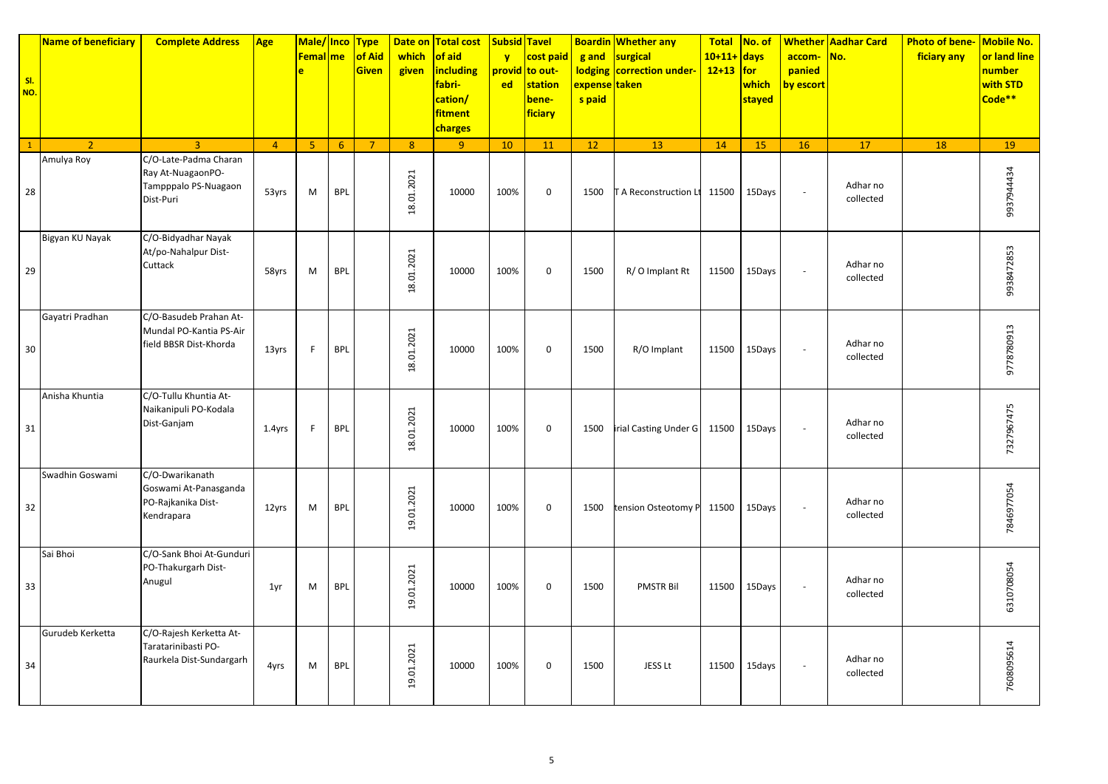| SI.<br>NO.   | <b>Name of beneficiary</b> | <b>Complete Address</b>                                                         | Age            | Male/ Inco<br><b>Femal</b> me<br>è |            | <b>Type</b><br>of Aid<br><b>Given</b> | which<br>given | Date on Total cost<br>of aid<br><b>including</b><br>fabri-<br>cation/<br>fitment<br>charges | <b>Subsid Tavel</b><br>$\mathbf{v}$<br><b>ed</b> | cost paid<br>provid to out-<br>station<br>bene-<br>ficiary | g and<br><b>lodging</b><br>expense taken<br>s paid | <b>Boardin Whether any</b><br>surgical<br>correction under- | <b>Total</b><br>$10+11+$ days<br>$12+13$ for | No. of<br>which<br>stayed | accom-<br>panied<br>by escort | <b>Whether Aadhar Card</b><br>No. | <b>Photo of bene-</b><br>ficiary any | Mobile No.<br>or land line<br><mark>number</mark><br>with STD<br>Code** |
|--------------|----------------------------|---------------------------------------------------------------------------------|----------------|------------------------------------|------------|---------------------------------------|----------------|---------------------------------------------------------------------------------------------|--------------------------------------------------|------------------------------------------------------------|----------------------------------------------------|-------------------------------------------------------------|----------------------------------------------|---------------------------|-------------------------------|-----------------------------------|--------------------------------------|-------------------------------------------------------------------------|
| $\mathbf{1}$ | $\overline{2}$             | $\overline{3}$                                                                  | $\overline{4}$ | 5 <sub>5</sub>                     | 6          | $\overline{7}$                        | $\mathbf{8}$   | 9 <sup>°</sup>                                                                              | 10                                               | 11                                                         | 12                                                 | 13                                                          | 14                                           | 15                        | 16                            | 17                                | 18                                   | 19                                                                      |
| 28           | Amulya Roy                 | C/O-Late-Padma Charan<br>Ray At-NuagaonPO-<br>Tampppalo PS-Nuagaon<br>Dist-Puri | 53yrs          | M                                  | <b>BPL</b> |                                       | 18.01.2021     | 10000                                                                                       | 100%                                             | $\mathbf 0$                                                | 1500                                               | A Reconstruction Lt                                         | 11500                                        | 15Days                    | $\overline{\phantom{a}}$      | Adhar no<br>collected             |                                      | 937944434                                                               |
| 29           | Bigyan KU Nayak            | C/O-Bidyadhar Nayak<br>At/po-Nahalpur Dist-<br>Cuttack                          | 58yrs          | M                                  | <b>BPL</b> |                                       | 18.01.2021     | 10000                                                                                       | 100%                                             | $\mathbf 0$                                                | 1500                                               | R/O Implant Rt                                              | 11500                                        | 15Days                    | ÷,                            | Adhar no<br>collected             |                                      | 9938472853                                                              |
| $30\,$       | Gayatri Pradhan            | C/O-Basudeb Prahan At-<br>Mundal PO-Kantia PS-Air<br>field BBSR Dist-Khorda     | 13yrs          | F                                  | <b>BPL</b> |                                       | 18.01.2021     | 10000                                                                                       | 100%                                             | $\mathbf 0$                                                | 1500                                               | R/O Implant                                                 | 11500                                        | 15Days                    | $\sim$                        | Adhar no<br>collected             |                                      | 9778780913                                                              |
| 31           | Anisha Khuntia             | C/O-Tullu Khuntia At-<br>Naikanipuli PO-Kodala<br>Dist-Ganjam                   | 1.4yrs         | F                                  | <b>BPL</b> |                                       | 18.01.2021     | 10000                                                                                       | 100%                                             | $\mathbf 0$                                                | 1500                                               | irial Casting Under G                                       | 11500                                        | 15Days                    | ÷,                            | Adhar no<br>collected             |                                      | 7327967475                                                              |
| 32           | Swadhin Goswami            | C/O-Dwarikanath<br>Goswami At-Panasganda<br>PO-Rajkanika Dist-<br>Kendrapara    | 12yrs          | M                                  | <b>BPL</b> |                                       | 19.01.2021     | 10000                                                                                       | 100%                                             | $\mathbf 0$                                                | 1500                                               | tension Osteotomy P                                         | 11500                                        | 15Days                    | ÷,                            | Adhar no<br>collected             |                                      | 7846977054                                                              |
| 33           | Sai Bhoi                   | C/O-Sank Bhoi At-Gunduri<br>PO-Thakurgarh Dist-<br>Anugul                       | 1yr            | M                                  | <b>BPL</b> |                                       | 19.01.2021     | 10000                                                                                       | 100%                                             | $\mathbf 0$                                                | 1500                                               | <b>PMSTR Bil</b>                                            | 11500                                        | 15Days                    | ÷,                            | Adhar no<br>collected             |                                      | 6310708054                                                              |
| 34           | Gurudeb Kerketta           | C/O-Rajesh Kerketta At-<br>Taratarinibasti PO-<br>Raurkela Dist-Sundargarh      | 4yrs           | M                                  | <b>BPL</b> |                                       | 19.01.2021     | 10000                                                                                       | 100%                                             | $\mathbf 0$                                                | 1500                                               | JESS Lt                                                     | 11500                                        | 15days                    | $\sim$                        | Adhar no<br>collected             |                                      | 7608095614                                                              |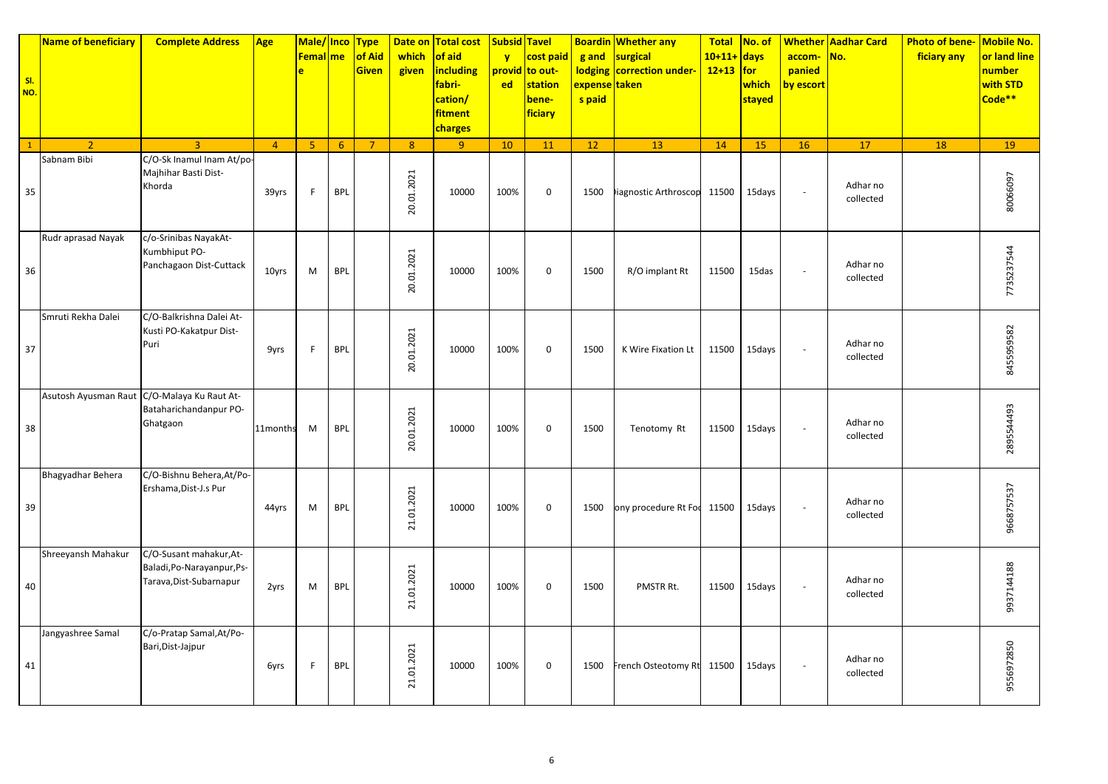| SI.<br>NO.   | Name of beneficiary                         | <b>Complete Address</b>                                                          | Age            | Male/ Inco<br><b>Femal</b> me<br>e |            | <b>Type</b><br>of Aid<br><b>Given</b> | Date on<br>which<br>given | <b>Total cost</b><br>of aid<br><b>including</b><br>fabri-<br>cation/<br>fitment<br>charges | <b>Subsid Tavel</b><br>$\mathbf{v}$<br>ed | cost paid<br>provid to out-<br>station<br>bene-<br>ficiary | g and<br><b>lodging</b><br>expense taken<br>s paid | <b>Boardin Whether any</b><br>surgical<br>correction under- | <b>Total</b><br>$10+11+$ days<br>$12+13$ for | No. of<br>which<br>stayed | accom-<br>panied<br>by escort | <b>Whether Aadhar Card</b><br>No. | <b>Photo of bene-</b><br>ficiary any | Mobile No.<br>or land line<br>number<br>with STD<br>Code <sup>**</sup> |
|--------------|---------------------------------------------|----------------------------------------------------------------------------------|----------------|------------------------------------|------------|---------------------------------------|---------------------------|--------------------------------------------------------------------------------------------|-------------------------------------------|------------------------------------------------------------|----------------------------------------------------|-------------------------------------------------------------|----------------------------------------------|---------------------------|-------------------------------|-----------------------------------|--------------------------------------|------------------------------------------------------------------------|
| $\mathbf{1}$ | $\overline{2}$                              | $\overline{3}$                                                                   | $\overline{4}$ | $\overline{5}$                     | 6          | $\overline{7}$                        | 8 <sup>°</sup>            | 9 <sup>°</sup>                                                                             | 10                                        | 11                                                         | 12                                                 | 13                                                          | 14                                           | 15                        | 16                            | 17                                | 18                                   | 19                                                                     |
| 35           | Sabnam Bibi                                 | C/O-Sk Inamul Inam At/po-<br>Majhihar Basti Dist-<br>Khorda                      | 39yrs          | F                                  | <b>BPL</b> |                                       | 20.01.2021                | 10000                                                                                      | 100%                                      | $\mathbf 0$                                                | 1500                                               | liagnostic Arthroscop 11500                                 |                                              | 15days                    | ÷,                            | Adhar no<br>collected             |                                      | 80066097                                                               |
| 36           | Rudr aprasad Nayak                          | c/o-Srinibas NayakAt-<br>Kumbhiput PO-<br>Panchagaon Dist-Cuttack                | 10yrs          | M                                  | <b>BPL</b> |                                       | 20.01.2021                | 10000                                                                                      | 100%                                      | $\mathbf 0$                                                | 1500                                               | R/O implant Rt                                              | 11500                                        | 15das                     | ÷,                            | Adhar no<br>collected             |                                      | 7735237544                                                             |
| 37           | Smruti Rekha Dalei                          | C/O-Balkrishna Dalei At-<br>Kusti PO-Kakatpur Dist-<br>Puri                      | 9yrs           | F                                  | <b>BPL</b> |                                       | 20.01.2021                | 10000                                                                                      | 100%                                      | $\mathbf 0$                                                | 1500                                               | K Wire Fixation Lt                                          | 11500                                        | 15days                    | $\bar{a}$                     | Adhar no<br>collected             |                                      | 8455959582                                                             |
| 38           | Asutosh Ayusman Raut C/O-Malaya Ku Raut At- | Bataharichandanpur PO-<br>Ghatgaon                                               | 11months       | M                                  | <b>BPL</b> |                                       | 20.01.2021                | 10000                                                                                      | 100%                                      | $\mathbf 0$                                                | 1500                                               | Tenotomy Rt                                                 | 11500                                        | 15days                    | ÷,                            | Adhar no<br>collected             |                                      | 2895544493                                                             |
| 39           | Bhagyadhar Behera                           | C/O-Bishnu Behera, At/Po-<br>Ershama, Dist-J.s Pur                               | 44yrs          | M                                  | <b>BPL</b> |                                       | 21.01.2021                | 10000                                                                                      | 100%                                      | $\mathbf 0$                                                | 1500                                               | ony procedure Rt Foc                                        | 11500                                        | 15days                    | $\sim$                        | Adhar no<br>collected             |                                      | 9668757537                                                             |
| 40           | Shreeyansh Mahakur                          | C/O-Susant mahakur, At-<br>Baladi, Po-Narayanpur, Ps-<br>Tarava, Dist-Subarnapur | 2yrs           | M                                  | <b>BPL</b> |                                       | 21.01.2021                | 10000                                                                                      | 100%                                      | $\mathbf 0$                                                | 1500                                               | PMSTR Rt.                                                   | 11500                                        | 15days                    | ä,                            | Adhar no<br>collected             |                                      | 9937144188                                                             |
| 41           | Jangyashree Samal                           | C/o-Pratap Samal, At/Po-<br>Bari, Dist-Jajpur                                    | 6yrs           | F                                  | <b>BPL</b> |                                       | 21.01.2021                | 10000                                                                                      | 100%                                      | $\mathbf 0$                                                | 1500                                               | French Osteotomy Rt 11500                                   |                                              | 15days                    | $\bar{a}$                     | Adhar no<br>collected             |                                      | 9556972850                                                             |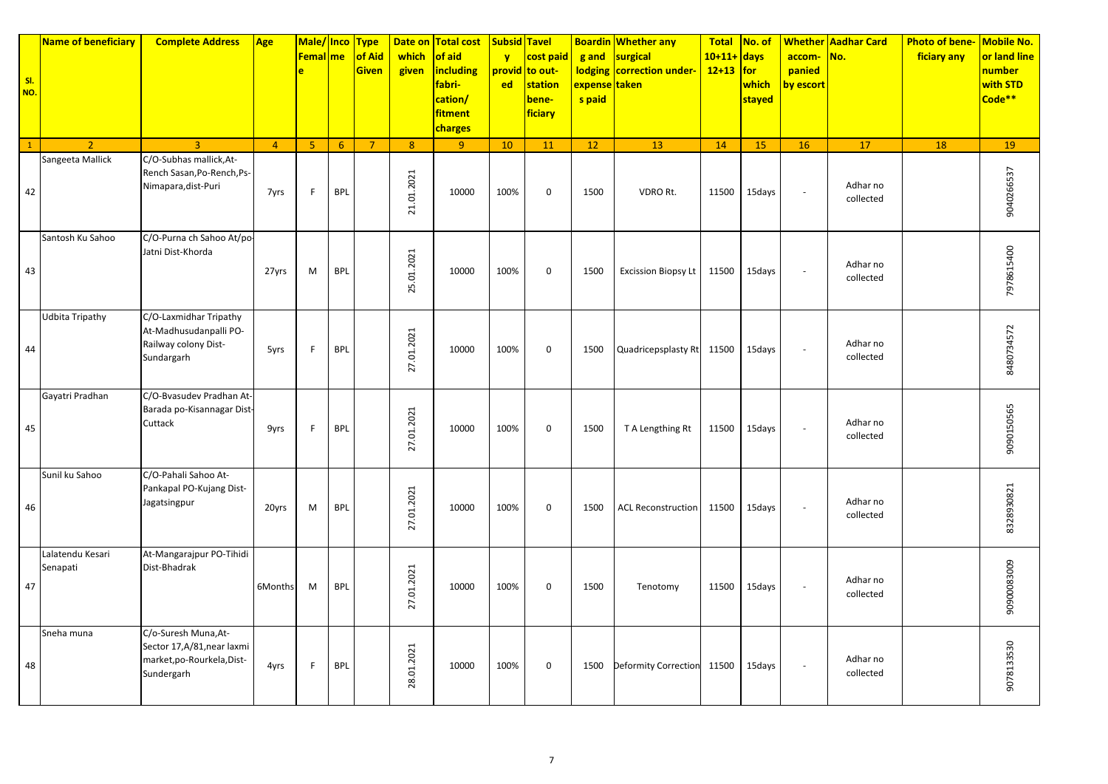| SI.<br>NO.   | Name of beneficiary          | <b>Complete Address</b>                                                                         | Age            | Male/ Inco<br><b>Femal</b> me<br>ė |                 | <b>Type</b><br>of Aid<br><b>Given</b> | Date on<br>which<br>given | <b>Total cost</b><br>of aid<br><b>including</b><br>fabri-<br>cation/<br><b>fitment</b><br><b>charges</b> | <b>Subsid Tavel</b><br>$\mathbf{v}$<br><b>ed</b> | cost paid<br>provid to out-<br>station<br>bene-<br>ficiary | g and<br><b>lodging</b><br>expense taken<br>s paid | <b>Boardin Whether any</b><br>surgical<br>correction under- | <b>Total</b><br>$10+11+$ days<br>$12+13$ for | No. of<br>which<br>stayed | accom-<br>panied<br>by escort | <b>Whether Aadhar Card</b><br>No. | <b>Photo of bene-</b><br>ficiary any | Mobile No.<br>or land line<br>number<br>with STD<br>Code <sup>**</sup> |
|--------------|------------------------------|-------------------------------------------------------------------------------------------------|----------------|------------------------------------|-----------------|---------------------------------------|---------------------------|----------------------------------------------------------------------------------------------------------|--------------------------------------------------|------------------------------------------------------------|----------------------------------------------------|-------------------------------------------------------------|----------------------------------------------|---------------------------|-------------------------------|-----------------------------------|--------------------------------------|------------------------------------------------------------------------|
| $\mathbf{1}$ | $\overline{2}$               | $\mathbf{R}$                                                                                    | $\overline{4}$ | $\overline{5}$                     | $6\overline{6}$ | $\overline{7}$                        | 8                         | 9                                                                                                        | 10                                               | 11                                                         | 12                                                 | 13                                                          | 14                                           | 15                        | 16                            | 17                                | 18                                   | 19                                                                     |
| 42           | Sangeeta Mallick             | C/O-Subhas mallick, At-<br>Rench Sasan, Po-Rench, Ps-<br>Nimapara, dist-Puri                    | 7yrs           | F.                                 | <b>BPL</b>      |                                       | 21.01.2021                | 10000                                                                                                    | 100%                                             | $\mathbf 0$                                                | 1500                                               | VDRO Rt.                                                    | 11500                                        | 15days                    | ÷,                            | Adhar no<br>collected             |                                      | 9040266537                                                             |
| 43           | Santosh Ku Sahoo             | C/O-Purna ch Sahoo At/po-<br>Jatni Dist-Khorda                                                  | 27yrs          | M                                  | <b>BPL</b>      |                                       | 25.01.2021                | 10000                                                                                                    | 100%                                             | $\mathbf 0$                                                | 1500                                               | <b>Excission Biopsy Lt</b>                                  | 11500                                        | 15days                    | $\bar{a}$                     | Adhar no<br>collected             |                                      | 7978615400                                                             |
| 44           | <b>Udbita Tripathy</b>       | C/O-Laxmidhar Tripathy<br>At-Madhusudanpalli PO-<br>Railway colony Dist-<br>Sundargarh          | 5yrs           | F.                                 | <b>BPL</b>      |                                       | 27.01.2021                | 10000                                                                                                    | 100%                                             | $\mathbf 0$                                                | 1500                                               | Quadricepsplasty Rt 11500                                   |                                              | 15days                    | ÷,                            | Adhar no<br>collected             |                                      | 8480734572                                                             |
| 45           | Gayatri Pradhan              | C/O-Bvasudev Pradhan At-<br>Barada po-Kisannagar Dist-<br>Cuttack                               | 9yrs           | $\mathsf{F}$                       | <b>BPL</b>      |                                       | 27.01.2021                | 10000                                                                                                    | 100%                                             | $\mathbf 0$                                                | 1500                                               | T A Lengthing Rt                                            | 11500                                        | 15days                    | ÷,                            | Adhar no<br>collected             |                                      | 9090150565                                                             |
| 46           | Sunil ku Sahoo               | C/O-Pahali Sahoo At-<br>Pankapal PO-Kujang Dist-<br>Jagatsingpur                                | 20yrs          | M                                  | <b>BPL</b>      |                                       | 27.01.2021                | 10000                                                                                                    | 100%                                             | $\mathbf 0$                                                | 1500                                               | <b>ACL Reconstruction</b>                                   | 11500                                        | 15days                    | ÷,                            | Adhar no<br>collected             |                                      | 8328930821                                                             |
| 47           | Lalatendu Kesari<br>Senapati | At-Mangarajpur PO-Tihidi<br>Dist-Bhadrak                                                        | 6Months        | M                                  | <b>BPL</b>      |                                       | 27.01.2021                | 10000                                                                                                    | 100%                                             | $\mathbf 0$                                                | 1500                                               | Tenotomy                                                    | 11500                                        | 15days                    | $\bar{a}$                     | Adhar no<br>collected             |                                      | 90900083009                                                            |
| 48           | Sneha muna                   | C/o-Suresh Muna, At-<br>Sector 17, A/81, near laxmi<br>market, po-Rourkela, Dist-<br>Sundergarh | 4yrs           | F                                  | <b>BPL</b>      |                                       | 28.01.2021                | 10000                                                                                                    | 100%                                             | $\mathbf 0$                                                | 1500                                               | Deformity Correction                                        | 11500                                        | 15days                    | $\overline{\phantom{a}}$      | Adhar no<br>collected             |                                      | 9078133530                                                             |